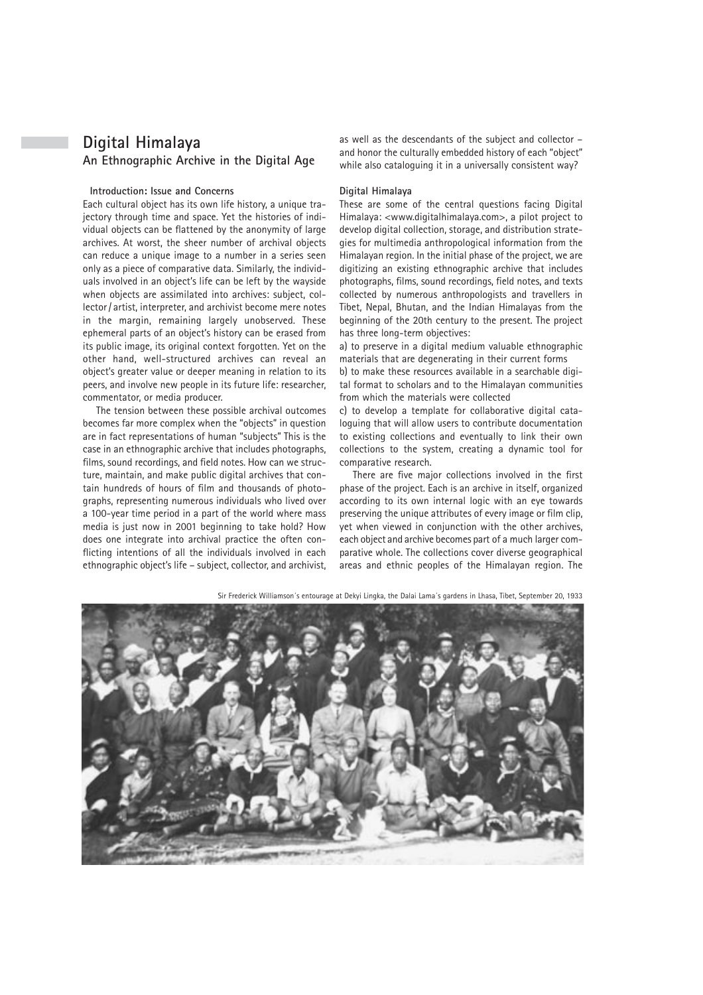# **Digital Himalaya An Ethnographic Archive in the Digital Age**

### **Introduction: Issue and Concerns**

Each cultural object has its own life history, a unique trajectory through time and space. Yet the histories of individual objects can be flattened by the anonymity of large archives. At worst, the sheer number of archival objects can reduce a unique image to a number in a series seen only as a piece of comparative data. Similarly, the individuals involved in an object's life can be left by the wayside when objects are assimilated into archives: subject, collector / artist, interpreter, and archivist become mere notes in the margin, remaining largely unobserved. These ephemeral parts of an object's history can be erased from its public image, its original context forgotten. Yet on the other hand, well-structured archives can reveal an object's greater value or deeper meaning in relation to its peers, and involve new people in its future life: researcher, commentator, or media producer.

The tension between these possible archival outcomes becomes far more complex when the "objects" in question are in fact representations of human "subjects" This is the case in an ethnographic archive that includes photographs, films, sound recordings, and field notes. How can we structure, maintain, and make public digital archives that contain hundreds of hours of film and thousands of photographs, representing numerous individuals who lived over a 100-year time period in a part of the world where mass media is just now in 2001 beginning to take hold? How does one integrate into archival practice the often conflicting intentions of all the individuals involved in each ethnographic object's life – subject, collector, and archivist, as well as the descendants of the subject and collector – and honor the culturally embedded history of each "object" while also cataloguing it in a universally consistent way?

#### **Digital Himalaya**

These are some of the central questions facing Digital Himalaya: <www.digitalhimalaya.com>, a pilot project to develop digital collection, storage, and distribution strategies for multimedia anthropological information from the Himalayan region. In the initial phase of the project, we are digitizing an existing ethnographic archive that includes photographs, films, sound recordings, field notes, and texts collected by numerous anthropologists and travellers in Tibet, Nepal, Bhutan, and the Indian Himalayas from the beginning of the 20th century to the present. The project has three long-term objectives:

a) to preserve in a digital medium valuable ethnographic materials that are degenerating in their current forms

b) to make these resources available in a searchable digital format to scholars and to the Himalayan communities from which the materials were collected

c) to develop a template for collaborative digital cataloguing that will allow users to contribute documentation to existing collections and eventually to link their own collections to the system, creating a dynamic tool for comparative research.

There are five major collections involved in the first phase of the project. Each is an archive in itself, organized according to its own internal logic with an eye towards preserving the unique attributes of every image or film clip, yet when viewed in conjunction with the other archives, each object and archive becomes part of a much larger comparative whole. The collections cover diverse geographical areas and ethnic peoples of the Himalayan region. The



Sir Frederick Williamson´s entourage at Dekyi Lingka, the Dalai Lama´s gardens in Lhasa, Tibet, September 20, 1933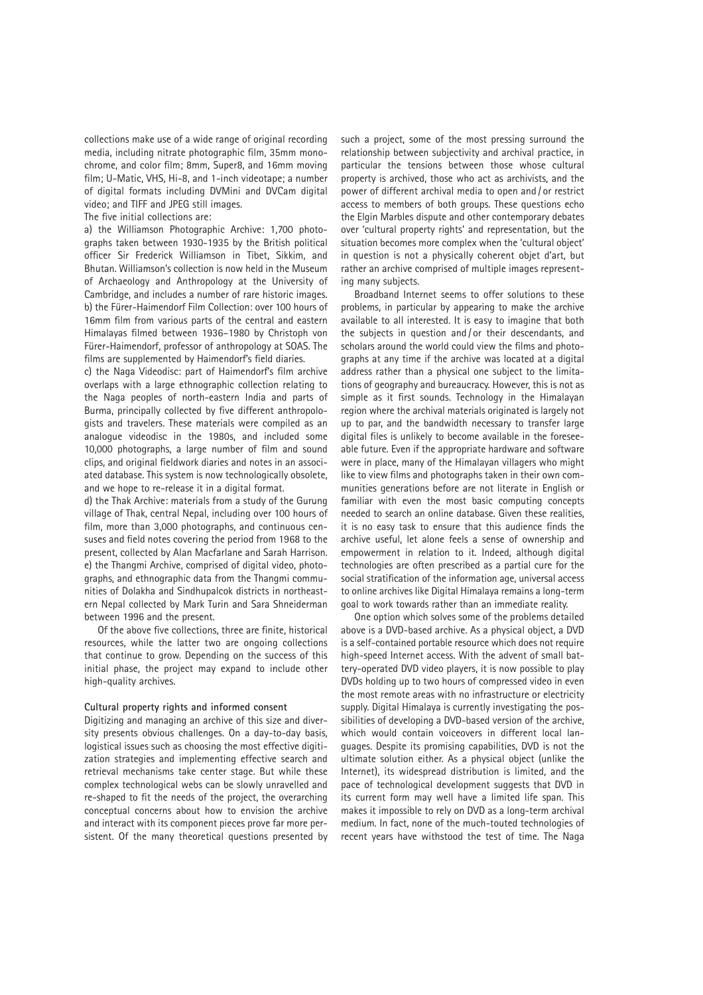collections make use of a wide range of original recording media, including nitrate photographic film, 35mm monochrome, and color film; 8mm, Super8, and 16mm moving film; U-Matic, VHS, Hi-8, and 1-inch videotape; a number of digital formats including DVMini and DVCam digital video; and TIFF and JPEG still images.

# The five initial collections are:

a) the Williamson Photographic Archive: 1,700 photographs taken between 1930-1935 by the British political officer Sir Frederick Williamson in Tibet, Sikkim, and Bhutan. Williamson's collection is now held in the Museum of Archaeology and Anthropology at the University of Cambridge, and includes a number of rare historic images. b) the Fürer-Haimendorf Film Collection: over 100 hours of 16mm film from various parts of the central and eastern Himalayas filmed between 1936–1980 by Christoph von Fürer-Haimendorf, professor of anthropology at SOAS. The films are supplemented by Haimendorf's field diaries.

c) the Naga Videodisc: part of Haimendorf's film archive overlaps with a large ethnographic collection relating to the Naga peoples of north-eastern India and parts of Burma, principally collected by five different anthropologists and travelers. These materials were compiled as an analogue videodisc in the 1980s, and included some 10,000 photographs, a large number of film and sound clips, and original fieldwork diaries and notes in an associated database. This system is now technologically obsolete, and we hope to re-release it in a digital format.

d) the Thak Archive: materials from a study of the Gurung village of Thak, central Nepal, including over 100 hours of film, more than 3,000 photographs, and continuous censuses and field notes covering the period from 1968 to the present, collected by Alan Macfarlane and Sarah Harrison. e) the Thangmi Archive, comprised of digital video, photographs, and ethnographic data from the Thangmi communities of Dolakha and Sindhupalcok districts in northeastern Nepal collected by Mark Turin and Sara Shneiderman between 1996 and the present.

Of the above five collections, three are finite, historical resources, while the latter two are ongoing collections that continue to grow. Depending on the success of this initial phase, the project may expand to include other high-quality archives.

# **Cultural property rights and informed consent**

Digitizing and managing an archive of this size and diversity presents obvious challenges. On a day-to-day basis, logistical issues such as choosing the most effective digitization strategies and implementing effective search and retrieval mechanisms take center stage. But while these complex technological webs can be slowly unravelled and re-shaped to fit the needs of the project, the overarching conceptual concerns about how to envision the archive and interact with its component pieces prove far more persistent. Of the many theoretical questions presented by such a project, some of the most pressing surround the relationship between subjectivity and archival practice, in particular the tensions between those whose cultural property is archived, those who act as archivists, and the power of different archival media to open and / or restrict access to members of both groups. These questions echo the Elgin Marbles dispute and other contemporary debates over 'cultural property rights' and representation, but the situation becomes more complex when the 'cultural object' in question is not a physically coherent objet d'art, but rather an archive comprised of multiple images representing many subjects.

Broadband Internet seems to offer solutions to these problems, in particular by appearing to make the archive available to all interested. It is easy to imagine that both the subjects in question and / or their descendants, and scholars around the world could view the films and photographs at any time if the archive was located at a digital address rather than a physical one subject to the limitations of geography and bureaucracy. However, this is not as simple as it first sounds. Technology in the Himalayan region where the archival materials originated is largely not up to par, and the bandwidth necessary to transfer large digital files is unlikely to become available in the foreseeable future. Even if the appropriate hardware and software were in place, many of the Himalayan villagers who might like to view films and photographs taken in their own communities generations before are not literate in English or familiar with even the most basic computing concepts needed to search an online database. Given these realities, it is no easy task to ensure that this audience finds the archive useful, let alone feels a sense of ownership and empowerment in relation to it. Indeed, although digital technologies are often prescribed as a partial cure for the social stratification of the information age, universal access to online archives like Digital Himalaya remains a long-term goal to work towards rather than an immediate reality.

One option which solves some of the problems detailed above is a DVD-based archive. As a physical object, a DVD is a self-contained portable resource which does not require high-speed Internet access. With the advent of small battery-operated DVD video players, it is now possible to play DVDs holding up to two hours of compressed video in even the most remote areas with no infrastructure or electricity supply. Digital Himalaya is currently investigating the possibilities of developing a DVD-based version of the archive, which would contain voiceovers in different local languages. Despite its promising capabilities, DVD is not the ultimate solution either. As a physical object (unlike the Internet), its widespread distribution is limited, and the pace of technological development suggests that DVD in its current form may well have a limited life span. This makes it impossible to rely on DVD as a long-term archival medium. In fact, none of the much-touted technologies of recent years have withstood the test of time. The Naga